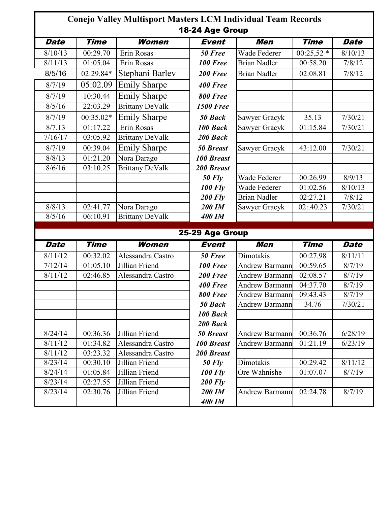|                     | Conejo Valley Multisport Masters LCM Individual Team Records<br>18-24 Age Group |                        |                   |                       |             |             |  |  |
|---------------------|---------------------------------------------------------------------------------|------------------------|-------------------|-----------------------|-------------|-------------|--|--|
| <b>Date</b>         | <b>Time</b>                                                                     | <b>Women</b>           | <b>Event</b>      | Men                   | <b>Time</b> | <b>Date</b> |  |  |
| 8/10/13             | 00:29.70                                                                        | Erin Rosas             | 50 Free           | Wade Federer          | $00:25,52*$ | 8/10/13     |  |  |
| 8/11/13             | 01:05.04                                                                        | Erin Rosas             | <b>100 Free</b>   | <b>Brian Nadler</b>   | 00:58.20    | 7/8/12      |  |  |
| 8/5/16              | 02:29.84*                                                                       | Stephani Barlev        | 200 Free          | <b>Brian Nadler</b>   | 02:08.81    | 7/8/12      |  |  |
| 8/7/19              | 05:02.09                                                                        | <b>Emily Sharpe</b>    | 400 Free          |                       |             |             |  |  |
| 8/7/19              | 10:30.44                                                                        | <b>Emily Sharpe</b>    | 800 Free          |                       |             |             |  |  |
| 8/5/16              | 22:03.29                                                                        | <b>Brittany DeValk</b> | <b>1500 Free</b>  |                       |             |             |  |  |
| 8/7/19              | 00:35.02*                                                                       | <b>Emily Sharpe</b>    | 50 Back           | Sawyer Gracyk         | 35.13       | 7/30/21     |  |  |
| 8/7.13              | 01:17.22                                                                        | Erin Rosas             | 100 Back          | Sawyer Gracyk         | 01:15.84    | 7/30/21     |  |  |
| 7/16/17             | 03:05.92                                                                        | <b>Brittany DeValk</b> | 200 Back          |                       |             |             |  |  |
| 8/7/19              | 00:39.04                                                                        | <b>Emily Sharpe</b>    | <b>50 Breast</b>  | Sawyer Gracyk         | 43:12.00    | 7/30/21     |  |  |
| 8/8/13              | 01:21.20                                                                        | Nora Darago            | <b>100 Breast</b> |                       |             |             |  |  |
| 8/6/16              | 03:10.25                                                                        | <b>Brittany DeValk</b> | <b>200 Breast</b> |                       |             |             |  |  |
|                     |                                                                                 |                        | <b>50 Fly</b>     | Wade Federer          | 00:26.99    | 8/9/13      |  |  |
|                     |                                                                                 |                        | <b>100 Fly</b>    | Wade Federer          | 01:02.56    | 8/10/13     |  |  |
|                     |                                                                                 |                        | <b>200 Flv</b>    | <b>Brian Nadler</b>   | 02:27.21    | 7/8/12      |  |  |
| 8/8/13              | 02:41.77                                                                        | Nora Darago            | 200 IM            | Sawyer Gracyk         | 02:.40.23   | 7/30/21     |  |  |
| 8/5/16              | 06:10.91                                                                        | <b>Brittany DeValk</b> | 400 IM            |                       |             |             |  |  |
|                     |                                                                                 |                        | 25-29 Age Group   |                       |             |             |  |  |
| <b>Date</b>         | <b>Time</b>                                                                     | Women                  | Event             | Men                   | <b>Time</b> | <b>Date</b> |  |  |
| 8/11/12             | 00:32.02                                                                        | Alessandra Castro      | 50 Free           | Dimotakis             | 00:27.98    | 8/11/11     |  |  |
| $\frac{1}{7}/12/14$ | 01:05.10                                                                        | Jillian Friend         | 100 Free          | <b>Andrew Barmann</b> | 00:59.65    | 8/7/19      |  |  |
| 8/11/12             | 02:46.85                                                                        | Alessandra Castro      | 200 Free          | <b>Andrew Barmann</b> | 02:08.57    | 8/7/19      |  |  |
|                     |                                                                                 |                        | 400 Free          | <b>Andrew Barmann</b> | 04:37.70    | 8/7/19      |  |  |
|                     |                                                                                 |                        | 800 Free          | <b>Andrew Barmann</b> | 09:43.43    | 8/7/19      |  |  |
|                     |                                                                                 |                        | 50 Back           | <b>Andrew Barmann</b> | 34.76       | 7/30/21     |  |  |
|                     |                                                                                 |                        | 100 Back          |                       |             |             |  |  |
|                     |                                                                                 |                        | 200 Back          |                       |             |             |  |  |
| 8/24/14             | 00:36.36                                                                        | Jillian Friend         | <b>50 Breast</b>  | <b>Andrew Barmann</b> | 00:36.76    | 6/28/19     |  |  |
| 8/11/12             | 01:34.82                                                                        | Alessandra Castro      | <b>100 Breast</b> | <b>Andrew Barmann</b> | 01:21.19    | 6/23/19     |  |  |
| 8/11/12             | 03:23.32                                                                        | Alessandra Castro      | <b>200 Breast</b> |                       |             |             |  |  |
| 8/23/14             | 00:30.10                                                                        | Jillian Friend         | $50$ Fly          | Dimotakis             | 00:29.42    | 8/11/12     |  |  |
| 8/24/14             | 01:05.84                                                                        | Jillian Friend         | <b>100 Fly</b>    | Ore Wahnishe          | 01:07.07    | 8/7/19      |  |  |
| 8/23/14             | 02:27.55                                                                        | Jillian Friend         | <b>200 Fly</b>    |                       |             |             |  |  |
| 8/23/14             | 02:30.76                                                                        | Jillian Friend         | 200 IM            | <b>Andrew Barmann</b> | 02:24.78    | 8/7/19      |  |  |
|                     |                                                                                 |                        | <b>400 IM</b>     |                       |             |             |  |  |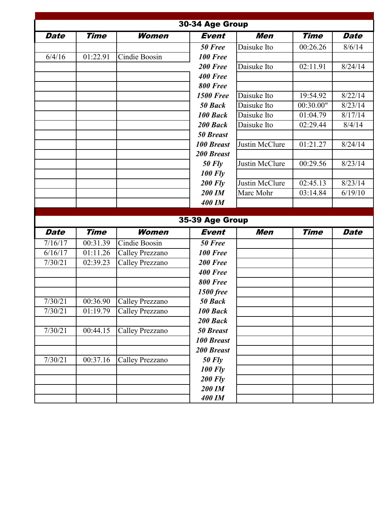|             |             |                        | 30-34 Age Group   |                |                       |             |
|-------------|-------------|------------------------|-------------------|----------------|-----------------------|-------------|
| <b>Date</b> | <b>Time</b> | Women                  | <b>Event</b>      | <b>Men</b>     | <b>Time</b>           | <b>Date</b> |
|             |             |                        | 50 Free           | Daisuke Ito    | 00:26.26              | 8/6/14      |
| 6/4/16      | 01:22.91    | Cindie Boosin          | <b>100 Free</b>   |                |                       |             |
|             |             |                        | 200 Free          | Daisuke Ito    | 02:11.91              | 8/24/14     |
|             |             |                        | 400 Free          |                |                       |             |
|             |             |                        | <b>800 Free</b>   |                |                       |             |
|             |             |                        | <b>1500 Free</b>  | Daisuke Ito    | 19:54.92              | 8/22/14     |
|             |             |                        | 50 Back           | Daisuke Ito    | 00:30.00"             | 8/23/14     |
|             |             |                        | 100 Back          | Daisuke Ito    | 01:04.79              | 8/17/14     |
|             |             |                        | 200 Back          | Daisuke Ito    | 02:29.44              | 8/4/14      |
|             |             |                        | <b>50 Breast</b>  |                |                       |             |
|             |             |                        | <b>100 Breast</b> | Justin McClure | 01:21.27              | 8/24/14     |
|             |             |                        | <b>200 Breast</b> |                |                       |             |
|             |             |                        | $50$ Fly          | Justin McClure | $\overline{0}0:29.56$ | 8/23/14     |
|             |             |                        | <b>100 Fly</b>    |                |                       |             |
|             |             |                        | $200$ Fly         | Justin McClure | 02:45.13              | 8/23/14     |
|             |             |                        | <b>200 IM</b>     | Marc Mohr      | 03:14.84              | 6/19/10     |
|             |             |                        | <b>400 IM</b>     |                |                       |             |
|             |             |                        | 35-39 Age Group   |                |                       |             |
| <b>Date</b> | <b>Time</b> | Women                  | <b>Event</b>      | Men            | <b>Time</b>           | <b>Date</b> |
| 7/16/17     | 00:31.39    | Cindie Boosin          | 50 Free           |                |                       |             |
| 6/16/17     | 01:11.26    | Calley Prezzano        | 100 Free          |                |                       |             |
| 7/30/21     | 02:39.23    | <b>Calley Prezzano</b> | 200 Free          |                |                       |             |
|             |             |                        | 400 Free          |                |                       |             |
|             |             |                        | <b>800 Free</b>   |                |                       |             |
|             |             |                        | 1500 free         |                |                       |             |
| 7/30/21     | 00:36.90    | Calley Prezzano        | 50 Back           |                |                       |             |
| 7/30/21     | 01:19.79    | <b>Calley Prezzano</b> | 100 Back          |                |                       |             |
|             |             |                        | 200 Back          |                |                       |             |
| 7/30/21     | 00:44.15    | Calley Prezzano        | <b>50 Breast</b>  |                |                       |             |
|             |             |                        | <b>100 Breast</b> |                |                       |             |
|             |             |                        | 200 Breast        |                |                       |             |
| 7/30/21     | 00:37.16    | Calley Prezzano        | <b>50 Fly</b>     |                |                       |             |
|             |             |                        | <b>100 Fly</b>    |                |                       |             |
|             |             |                        |                   |                |                       |             |
|             |             |                        | <b>200 Fly</b>    |                |                       |             |
|             |             |                        | 200 IM            |                |                       |             |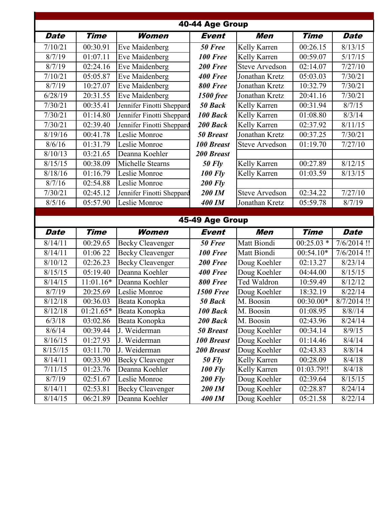| 40-44 Age Group    |                        |                                           |                   |                              |                       |                    |  |  |
|--------------------|------------------------|-------------------------------------------|-------------------|------------------------------|-----------------------|--------------------|--|--|
| Date               | <b>Time</b>            | Women                                     | Event             | Men                          | <b>Time</b>           | <b>Date</b>        |  |  |
| 7/10/21            | 00:30.91               | Eve Maidenberg                            | 50 Free           | Kelly Karren                 | $\overline{0}0:26.15$ | 8/13/15            |  |  |
| 8/7/19             | 01:07.11               | Eve Maidenberg                            | 100 Free          | Kelly Karren                 | 00:59.07              | 5/17/15            |  |  |
| 8/7/19             | 02:24.16               | Eve Maidenberg                            | 200 Free          | <b>Steve Arvedson</b>        | 02:14.07              | 7/27/10            |  |  |
| 7/10/21            | 05:05.87               | Eve Maidenberg                            | <b>400 Free</b>   | Jonathan Kretz               | 05:03.03              | 7/30/21            |  |  |
| 8/7/19             | 10:27.07               | Eve Maidenberg                            | <b>800 Free</b>   | Jonathan Kretz               | 10:32.79              | 7/30/21            |  |  |
| 6/28/19            | 20:31.55               | Eve Maidenberg                            | <b>1500 free</b>  | Jonathan Kretz               | 20:41.16              | 7/30/21            |  |  |
| 7/30/21            | 00:35.41               | Jennifer Finotti Sheppard                 | 50 Back           | Kelly Karren                 | 00:31.94              | 8/7/15             |  |  |
| 7/30/21            | 01:14.80               | Jennifer Finotti Sheppard                 | 100 Back          | Kelly Karren                 | 01:08.80              | 8/3/14             |  |  |
| 7/30/21            | 02:39.40               | Jennifer Finotti Sheppard                 | 200 Back          | Kelly Karren                 | 02:37.92              | 8/11/15            |  |  |
| 8/19/16            | 00:41.78               | Leslie Monroe                             | <b>50 Breast</b>  | Jonathan Kretz               | 00:37.25              | 7/30/21            |  |  |
| 8/6/16             | $\overline{0}$ 1:31.79 | Leslie Monroe                             | <b>100 Breast</b> | <b>Steve Arvedson</b>        | 01:19.70              | 7/27/10            |  |  |
| 8/10/13            | 03:21.65               | Deanna Koehler                            | <b>200 Breast</b> |                              |                       |                    |  |  |
| 8/15/15            | 00:38.09               | Michelle Stearns                          | $50$ Fly          | Kelly Karren                 | 00:27.89              | 8/12/15            |  |  |
| 8/18/16            | 01:16.79               | Leslie Monroe                             | <b>100 Fly</b>    | Kelly Karren                 | 01:03.59              | 8/13/15            |  |  |
| 8/7/16             | 02:54.88               | Leslie Monroe                             | $200$ Fly         |                              |                       |                    |  |  |
| 7/30/21            | 02:45.12               | Jennifer Finotti Sheppard                 | 200 IM            | <b>Steve Arvedson</b>        | 02:34.22              | 7/27/10            |  |  |
| 8/5/16             | 05:57.90               | Leslie Monroe                             | 400 IM            | Jonathan Kretz               | 05:59.78              | 8/7/19             |  |  |
|                    |                        |                                           |                   |                              |                       |                    |  |  |
|                    |                        |                                           |                   |                              |                       |                    |  |  |
|                    |                        |                                           | 45-49 Age Group   |                              |                       |                    |  |  |
| <b>Date</b>        | <b>Time</b>            | Women                                     | Event             | Men                          | <b>Time</b>           | <b>Date</b>        |  |  |
| 8/14/11            | 00:29.65               | <b>Becky Cleavenger</b>                   | 50 Free           | Matt Biondi                  | $00:25.03*$           | $7/6/2014$ !!      |  |  |
| 8/14/11            | 01:0622                | <b>Becky Cleavenger</b>                   | 100 Free          | Matt Biondi                  | $00:54.10*$           | $7/6/2014$ !!      |  |  |
| 8/10/12            | 02:26.23               | <b>Becky Cleavenger</b>                   | 200 Free          | Doug Koehler                 | 02:13.27              | 8/23/14            |  |  |
| 8/15/15            | 05:19.40               | Deanna Koehler                            | 400 Free          | Doug Koehler                 | 04:44.00              | 8/15/15            |  |  |
| 8/14/15            | 11:01.16*              | Deanna Koehler                            | <b>800 Free</b>   | <b>Ted Waldron</b>           | 10:59.49              | 8/12/12            |  |  |
| 8/7/19             | 20:25.69               | Leslie Monroe                             | <b>1500 Free</b>  | Doug Koehler                 | 18:32.19              | 8/22/14            |  |  |
| 8/12/18            | 00:36.03               | Beata Konopka                             | 50 Back           | M. Boosin                    | $00:30.00*$           | $8/7/2014$ !!      |  |  |
| 8/12/18            | 01:21.65*              | Beata Konopka                             | 100 Back          | M. Boosin                    | 01:08.95              | 8/8/14             |  |  |
| 6/3/18             | 03:02.86               | Beata Konopka                             | 200 Back          | M. Boosin                    | 02:43.96              | 8/24/14            |  |  |
| 8/6/14             | 00:39.44               | J. Weiderman                              | <b>50 Breast</b>  | Doug Koehler                 | 00:34.14              | 8/9/15             |  |  |
| 8/16/15            | 01:27.93               | J. Weiderman                              | <b>100 Breast</b> | Doug Koehler                 | 01:14.46              | 8/4/14             |  |  |
| 8/15/15            | 03:11.70               | J. Weiderman                              | 200 Breast        | Doug Koehler                 | 02:43.83              | 8/8/14             |  |  |
| 8/14/11            | 00:33.90               | <b>Becky Cleavenger</b>                   | $50$ Fly          | Kelly Karren                 | 00:28.09              | 8/4/18             |  |  |
| 7/11/15            | 01:23.76               | Deanna Koehler                            | <b>100 Fly</b>    | Kelly Karren                 | 01:03.79!!            | 8/4/18             |  |  |
| 8/7/19             | 02:51.67               | Leslie Monroe                             | <b>200 Fly</b>    | Doug Koehler                 | 02:39.64              | 8/15/15            |  |  |
| 8/14/11<br>8/14/15 | 02:53.81<br>06:21.89   | <b>Becky Cleavenger</b><br>Deanna Koehler | 200 IM<br>400 IM  | Doug Koehler<br>Doug Koehler | 02:28.87<br>05:21.58  | 8/24/14<br>8/22/14 |  |  |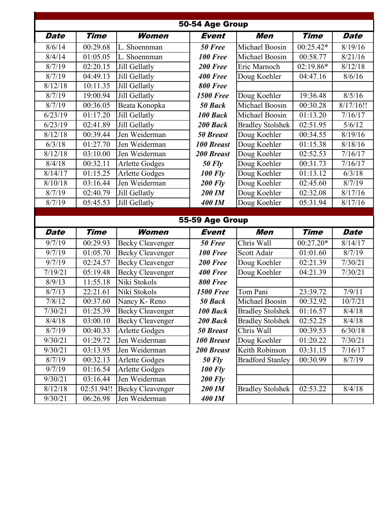| 50-54 Age Group |             |                         |                   |                         |                        |                   |  |
|-----------------|-------------|-------------------------|-------------------|-------------------------|------------------------|-------------------|--|
| <b>Date</b>     | <b>Time</b> | Women                   | <b>Event</b>      | Men                     | <b>Time</b>            | <b>Date</b>       |  |
| 8/6/14          | 00:29.68    | L. Shoennman            | 50 Free           | Michael Boosin          | 00:25.42*              | 8/19/16           |  |
| 8/4/14          | 01:05.05    | L. Shoennman            | 100 Free          | Michael Boosin          | 00:58.77               | 8/21/16           |  |
| 8/7/19          | 02:20.15    | Jill Gellatly           | 200 Free          | Eric Marnoch            | 02:19.86*              | 8/12/18           |  |
| 8/7/19          | 04:49.13    | Jill Gellatly           | 400 Free          | Doug Koehler            | 04:47.16               | 8/6/16            |  |
| 8/12/18         | 10:11.35    | Jill Gellatly           | 800 Free          |                         |                        |                   |  |
| 8/7/19          | 19:00.94    | Jill Gellatly           | <b>1500 Free</b>  | Doug Koehler            | 19:36.48               | 8/5/16            |  |
| 8/7/19          | 00:36.05    | Beata Konopka           | 50 Back           | Michael Boosin          | 00:30.28               | 8/17/16!!         |  |
| 6/23/19         | 01:17.20    | Jill Gellatly           | 100 Back          | Michael Boosin          | 01:13.20               | 7/16/17           |  |
| 6/23/19         | 02:41.89    | Jill Gellatly           | 200 Back          | <b>Bradley Stolshek</b> | 02:51.95               | 5/6/12            |  |
| 8/12/18         | 00:39.44    | Jen Weiderman           | <b>50 Breast</b>  | Doug Koehler            | 00:34.55               | 8/19/16           |  |
| 6/3/18          | 01:27.70    | Jen Weiderman           | <b>100 Breast</b> | Doug Koehler            | 01:15.38               | 8/18/16           |  |
| 8/12/18         | 03:10.00    | Jen Weiderman           | 200 Breast        | Doug Koehler            | 02:52.53               | 7/16/17           |  |
| 8/4/18          | 00:32.11    | <b>Arlette Godges</b>   | $50$ Fly          | Doug Koehler            | 00:31.73               | $\frac{7}{16/17}$ |  |
| 8/14/17         | 01:15.25    | Arlette Godges          | <b>100 Fly</b>    | Doug Koehler            | 01:13.12               | 6/3/18            |  |
| 8/10/18         | 03:16.44    | Jen Weiderman           | <b>200 Fly</b>    | Doug Koehler            | 02:45.60               | 8/7/19            |  |
| 8/7/19          | 02:40.79    | Jill Gellatly           | 200 IM            | Doug Koehler            | 02:32.08               | 8/17/16           |  |
| 8/7/19          | 05:45.53    | Jill Gellatly           | 400 IM            | Doug Koehler            | 05:31.94               | 8/17/16           |  |
|                 |             |                         |                   |                         |                        |                   |  |
|                 |             |                         |                   |                         |                        |                   |  |
|                 |             |                         | 55-59 Age Group   |                         |                        |                   |  |
| <b>Date</b>     | <b>Time</b> | Women                   | Event             | Men                     | <b>Time</b>            | <b>Date</b>       |  |
| 9/7/19          | 00:29.93    | <b>Becky Cleavenger</b> | 50 Free           | Chris Wall              | $\overline{00:}27.20*$ | 8/14/17           |  |
| 9/7/19          | 01:05.70    | <b>Becky Cleavenger</b> | 100 Free          | Scott Adair             | 01:01.60               | 8/7/19            |  |
| 9/7/19          | 02:24.57    | <b>Becky Cleavenger</b> | 200 Free          | Doug Koehler            | 02:21.39               | 7/30/21           |  |
| 7/19/21         | 05:19.48    | <b>Becky Cleavenger</b> | 400 Free          | Doug Koehler            | 04:21.39               | 7/30/21           |  |
| 8/9/13          | 11:55.18    | Niki Stokols            | <b>800 Free</b>   |                         |                        |                   |  |
| 8/7/13          | 22:21.61    | Niki Stokols            | <b>1500 Free</b>  | Tom Pani                | 23:39.72               | 7/9/11            |  |
| 7/8/12          | 00:37.60    | Nancy K-Reno            | 50 Back           | Michael Boosin          | 00:32.92               | 10/7/21           |  |
| 7/30/21         | 01:25.39    | <b>Becky Cleavenger</b> | 100 Back          | <b>Bradley Stolshek</b> | 01:16.57               | 8/4/18            |  |
| 8/4/18          | 03:00.10    | <b>Becky Cleavenger</b> | 200 Back          | <b>Bradley Stolshek</b> | 02:52.25               | 8/4/18            |  |
| 8/7/19          | 00:40.33    | <b>Arlette Godges</b>   | <b>50 Breast</b>  | Chris Wall              | 00:39.53               | 6/30/18           |  |
| 9/30/21         | 01:29.72    | Jen Weiderman           | 100 Breast        | Doug Koehler            | 01:20.22               | 7/30/21           |  |
| 9/30/21         | 03:13.95    | Jen Weiderman           | 200 Breast        | Keith Robinson          | 03:31.15               | 7/16/17           |  |
| 8/7/19          | 00:32.13    | <b>Arlette Godges</b>   | $50$ Fly          | <b>Bradford Stanley</b> | 00:30.99               | 8/7/19            |  |
| 9/7/19          | 01:16.54    | <b>Arlette Godges</b>   | <b>100 Fly</b>    |                         |                        |                   |  |
| 9/30/21         | 03:16.44    | Jen Weiderman           | <b>200 Fly</b>    |                         |                        |                   |  |
| 8/12/18         | 02:51.94!!  | <b>Becky Cleavenger</b> | 200 IM            | <b>Bradley Stolshek</b> | 02:53.22               | 8/4/18            |  |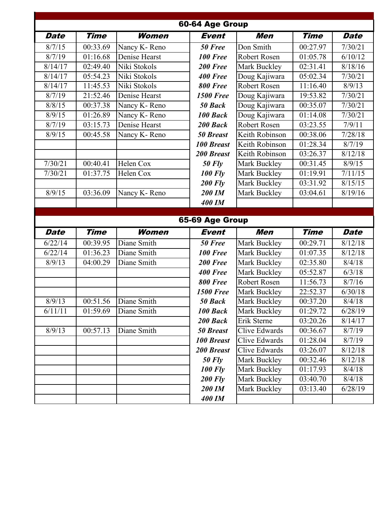|             |             |               | 60-64 Age Group   |                     |             |             |
|-------------|-------------|---------------|-------------------|---------------------|-------------|-------------|
| <b>Date</b> | <b>Time</b> | Women         | <b>Event</b>      | Men                 | <b>Time</b> | <b>Date</b> |
| 8/7/15      | 00:33.69    | Nancy K-Reno  | 50 Free           | Don Smith           | 00:27.97    | 7/30/21     |
| 8/7/19      | 01:16.68    | Denise Hearst | <b>100 Free</b>   | Robert Rosen        | 01:05.78    | 6/10/12     |
| 8/14/17     | 02:49.40    | Niki Stokols  | 200 Free          | Mark Buckley        | 02:31.41    | 8/18/16     |
| 8/14/17     | 05:54.23    | Niki Stokols  | 400 Free          | Doug Kajiwara       | 05:02.34    | 7/30/21     |
| 8/14/17     | 11:45.53    | Niki Stokols  | 800 Free          | <b>Robert Rosen</b> | 11:16.40    | 8/9/13      |
| 8/7/19      | 21:52.46    | Denise Hearst | <b>1500 Free</b>  | Doug Kajiwara       | 19:53.82    | 7/30/21     |
| 8/8/15      | 00:37.38    | Nancy K-Reno  | 50 Back           | Doug Kajiwara       | 00:35.07    | 7/30/21     |
| 8/9/15      | 01:26.89    | Nancy K-Reno  | 100 Back          | Doug Kajiwara       | 01:14.08    | 7/30/21     |
| 8/7/19      | 03:15.73    | Denise Hearst | 200 Back          | Robert Rosen        | 03:23.55    | 7/9/11      |
| 8/9/15      | 00:45.58    | Nancy K-Reno  | <b>50 Breast</b>  | Keith Robinson      | 00:38.06    | 7/28/18     |
|             |             |               | <b>100 Breast</b> | Keith Robinson      | 01:28.34    | 8/7/19      |
|             |             |               | <b>200 Breast</b> | Keith Robinson      | 03:26.37    | 8/12/18     |
| 7/30/21     | 00:40.41    | Helen Cox     | <b>50 Fly</b>     | Mark Buckley        | 00:31.45    | 8/9/15      |
| 7/30/21     | 01:37.75    | Helen Cox     | <b>100 Fly</b>    | Mark Buckley        | 01:19.91    | 7/11/15     |
|             |             |               | <b>200 Fly</b>    | Mark Buckley        | 03:31.92    | 8/15/15     |
| 8/9/15      | 03:36.09    | Nancy K-Reno  | 200 IM            | Mark Buckley        | 03:04.61    | 8/19/16     |
|             |             |               | <b>400 IM</b>     |                     |             |             |
|             |             |               |                   |                     |             |             |
|             |             |               | 65-69 Age Group   |                     |             |             |
| <b>Date</b> | <b>Time</b> | Women         | <b>Event</b>      | Men                 | <b>Time</b> | <b>Date</b> |
| 6/22/14     |             |               |                   |                     |             |             |
|             | 00:39.95    | Diane Smith   | 50 Free           | Mark Buckley        | 00:29.71    | 8/12/18     |
| 6/22/14     | 01:36.23    | Diane Smith   | <b>100 Free</b>   | Mark Buckley        | 01:07.35    | 8/12/18     |
| 8/9/13      | 04:00.29    | Diane Smith   | 200 Free          | Mark Buckley        | 02:35.80    | 8/4/18      |
|             |             |               | 400 Free          | Mark Buckley        | 05:52.87    | 6/3/18      |
|             |             |               | 800 Free          | Robert Rosen        | 11:56.73    | 8/7/16      |
|             |             |               | <b>1500 Free</b>  | Mark Buckley        | 22:52.37    | 6/30/18     |
| 8/9/13      | 00:51.56    | Diane Smith   | 50 Back           | Mark Buckley        | 00:37.20    | 8/4/18      |
| 6/11/11     | 01:59.69    | Diane Smith   | 100 Back          | Mark Buckley        | 01:29.72    | 6/28/19     |
|             |             |               | 200 Back          | Erik Sterne         | 03:20.26    | 8/14/17     |
| 8/9/13      | 00:57.13    | Diane Smith   | <b>50 Breast</b>  | Clive Edwards       | 00:36.67    | 8/7/19      |
|             |             |               | <b>100 Breast</b> | Clive Edwards       | 01:28.04    | 8/7/19      |
|             |             |               | <b>200 Breast</b> | Clive Edwards       | 03:26.07    | 8/12/18     |
|             |             |               | <b>50 Fly</b>     | Mark Buckley        | 00:32.46    | 8/12/18     |
|             |             |               | <b>100 Fly</b>    | Mark Buckley        | 01:17.93    | 8/4/18      |
|             |             |               | <b>200 Fly</b>    | Mark Buckley        | 03:40.70    | 8/4/18      |
|             |             |               | 200 IM            | Mark Buckley        | 03:13.40    | 6/28/19     |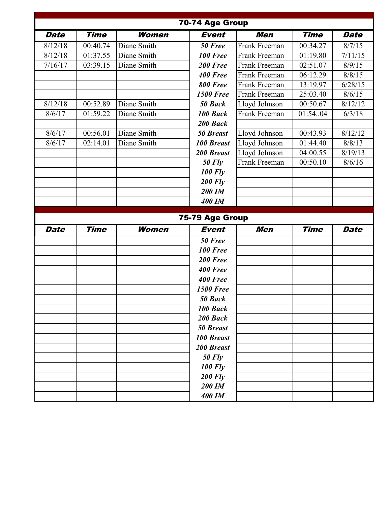|             |             |              | 70-74 Age Group   |                      |             |             |
|-------------|-------------|--------------|-------------------|----------------------|-------------|-------------|
| <b>Date</b> | <b>Time</b> | Women        | <b>Event</b>      | Men                  | <b>Time</b> | <b>Date</b> |
| 8/12/18     | 00:40.74    | Diane Smith  | 50 Free           | Frank Freeman        | 00:34.27    | 8/7/15      |
| 8/12/18     | 01:37.55    | Diane Smith  | <b>100 Free</b>   | Frank Freeman        | 01:19.80    | 7/11/15     |
| 7/16/17     | 03:39.15    | Diane Smith  | 200 Free          | Frank Freeman        | 02:51.07    | 8/9/15      |
|             |             |              | 400 Free          | Frank Freeman        | 06:12.29    | 8/8/15      |
|             |             |              | <b>800 Free</b>   | Frank Freeman        | 13:19.97    | 6/28/15     |
|             |             |              | <b>1500 Free</b>  | <b>Frank Freeman</b> | 25:03.40    | 8/6/15      |
| 8/12/18     | 00:52.89    | Diane Smith  | 50 Back           | Lloyd Johnson        | 00:50.67    | 8/12/12     |
| 8/6/17      | 01:59.22    | Diane Smith  | 100 Back          | Frank Freeman        | 01:5404     | 6/3/18      |
|             |             |              | 200 Back          |                      |             |             |
| 8/6/17      | 00:56.01    | Diane Smith  | <b>50 Breast</b>  | Lloyd Johnson        | 00:43.93    | 8/12/12     |
| 8/6/17      | 02:14.01    | Diane Smith  | <b>100 Breast</b> | Lloyd Johnson        | 01:44.40    | 8/8/13      |
|             |             |              | <b>200 Breast</b> | Lloyd Johnson        | 04:00.55    | 8/19/13     |
|             |             |              | <b>50 Fly</b>     | Frank Freeman        | 00:50.10    | 8/6/16      |
|             |             |              | <b>100 Fly</b>    |                      |             |             |
|             |             |              | $200$ Fly         |                      |             |             |
|             |             |              | 200 IM            |                      |             |             |
|             |             |              | <b>400 IM</b>     |                      |             |             |
|             |             |              |                   |                      |             |             |
|             |             |              | 75-79 Age Group   |                      |             |             |
| <b>Date</b> | <b>Time</b> | <b>Women</b> | <b>Event</b>      | <b>Men</b>           | <b>Time</b> | <b>Date</b> |
|             |             |              | 50 Free           |                      |             |             |
|             |             |              | <b>100 Free</b>   |                      |             |             |
|             |             |              | 200 Free          |                      |             |             |
|             |             |              | 400 Free          |                      |             |             |
|             |             |              | 400 Free          |                      |             |             |
|             |             |              | <b>1500 Free</b>  |                      |             |             |
|             |             |              | 50 Back           |                      |             |             |
|             |             |              | 100 Back          |                      |             |             |
|             |             |              | 200 Back          |                      |             |             |
|             |             |              | <b>50 Breast</b>  |                      |             |             |
|             |             |              | <b>100 Breast</b> |                      |             |             |
|             |             |              | 200 Breast        |                      |             |             |
|             |             |              | $50$ Fly          |                      |             |             |
|             |             |              | <b>100 Fly</b>    |                      |             |             |
|             |             |              | <b>200 Fly</b>    |                      |             |             |
|             |             |              | 200 IM            |                      |             |             |